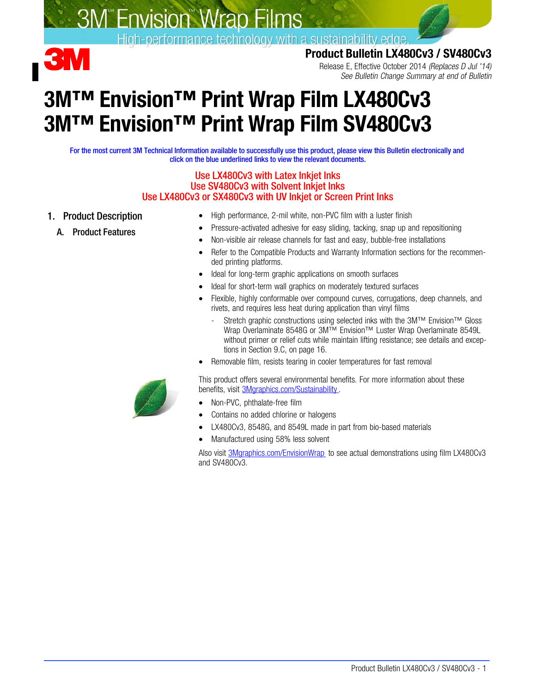

# **S. 3M** Envision Wrap Films

High-performance technology with a sustainability edge.<br>Product Bulletin LX480Cv3 / SV480Cv3

Release E, Effective October 2014 (Replaces D Jul '14) See Bulletin Change Summary at end of Bulletin

# 3M™ Envision™ Print Wrap Film LX480Cv3 3M™ Envision™ Print Wrap Film SV480Cv3

For the most current 3M Technical Information available to successfully use this product, please view this Bulletin electronically and click on the blue underlined links to view the relevant documents.

#### Use LX480Cv3 with Latex Inkjet Inks Use SV480Cv3 with Solvent Inkjet Inks Use LX480Cv3 or SX480Cv3 with UV Inkjet or Screen Print Inks

- 1. Product Description
	- A. Product Features
- High performance, 2-mil white, non-PVC film with a luster finish
- Pressure-activated adhesive for easy sliding, tacking, snap up and repositioning
- Non-visible air release channels for fast and easy, bubble-free installations
- Refer to the Compatible Products and Warranty Information sections for the recommended printing platforms.
- Ideal for long-term graphic applications on smooth surfaces
- Ideal for short-term wall graphics on moderately textured surfaces
- Flexible, highly conformable over compound curves, corrugations, deep channels, and rivets, and requires less heat during application than vinyl films
	- Stretch graphic constructions using selected inks with the 3M™ Envision™ Gloss Wrap Overlaminate 8548G or 3M™ Envision™ Luster Wrap Overlaminate 8549L without primer or relief cuts while maintain lifting resistance; see details and exceptions in Section [9.](#page-14-0)[C](#page-15-0), on page [16](#page-15-0).
- Removable film, resists tearing in cooler temperatures for fast removal

This product offers several environmental benefits. For more information about these benefits, visit [3Mgraphics.com/Sustainability.](http://solutions.3m.com/wps/portal/3M/en_US/Graphics/3Mgraphics/Resources/Sustainability/?WT.mc_id=www.3mgraphics.com/sustainability)

- Non-PVC, phthalate-free film
- Contains no added chlorine or halogens
- LX480Cv3, 8548G, and 8549L made in part from bio-based materials
- Manufactured using 58% less solvent

Also visit [3Mgraphics.com/EnvisionWrap](http://solutions.3m.com/wps/portal/3M/en_US/Graphics/3Mgraphics/Applications/Envision-Wrap-Films/) to see actual demonstrations using film LX480Cv3 and SV480Cv3.

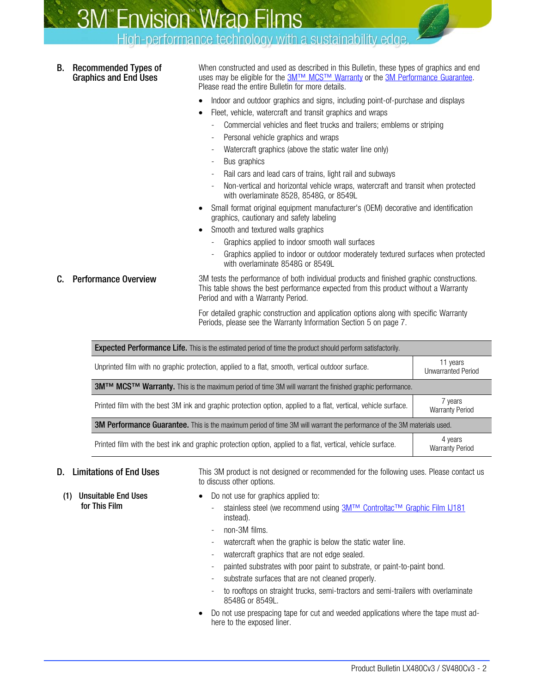High-performance technology with a sustainability edge.

B. Recommended Types of Graphics and End Uses

When constructed and used as described in this Bulletin, these types of graphics and end uses may be eligible for the [3M™ MCS™ Warranty](http://multimedia.3m.com/mws/mediawebserver?mwsId=SSSSSuH8gc7nZxtUN8_UM8mZevUqe17zHvTSevTSeSSSSSS--&fn=3M%20Commercial%20Graphics%20Warranty) or the [3M Performance Guarantee.](http://multimedia.3m.com/mws/mediawebserver?mwsId=SSSSSuH8gc7nZxtUN8_UM8mZevUqe17zHvTSevTSeSSSSSS--&fn=3M%20Commercial%20Graphics%20Warranty) Please read the entire Bulletin for more details.

- Indoor and outdoor graphics and signs, including point-of-purchase and displays
- Fleet, vehicle, watercraft and transit graphics and wraps
	- Commercial vehicles and fleet trucks and trailers; emblems or striping
- Personal vehicle graphics and wraps
- Watercraft graphics (above the static water line only)
- Bus graphics
- Rail cars and lead cars of trains, light rail and subways
- Non-vertical and horizontal vehicle wraps, watercraft and transit when protected with overlaminate 8528, 8548G, or 8549L
- Small format original equipment manufacturer's (OEM) decorative and identification graphics, cautionary and safety labeling
- Smooth and textured walls graphics
	- Graphics applied to indoor smooth wall surfaces
	- Graphics applied to indoor or outdoor moderately textured surfaces when protected with overlaminate 8548G or 8549L
- **C.** Performance Overview 3M tests the performance of both individual products and finished graphic constructions. This table shows the best performance expected from this product without a Warranty Period and with a Warranty Period.

For detailed graphic construction and application options along with specific Warranty Periods, please see the Warranty Information Section [5](#page-6-0) on page [7.](#page-6-0)

| <b>Expected Performance Life.</b> This is the estimated period of time the product should perform satisfactorily.             |                                       |  |  |  |  |  |  |  |
|-------------------------------------------------------------------------------------------------------------------------------|---------------------------------------|--|--|--|--|--|--|--|
| Unprinted film with no graphic protection, applied to a flat, smooth, vertical outdoor surface.                               | 11 years<br><b>Unwarranted Period</b> |  |  |  |  |  |  |  |
| 3M™ MCS™ Warranty. This is the maximum period of time 3M will warrant the finished graphic performance.                       |                                       |  |  |  |  |  |  |  |
| Printed film with the best 3M ink and graphic protection option, applied to a flat, vertical, vehicle surface.                | 7 years<br><b>Warranty Period</b>     |  |  |  |  |  |  |  |
| <b>3M Performance Guarantee.</b> This is the maximum period of time 3M will warrant the performance of the 3M materials used. |                                       |  |  |  |  |  |  |  |
| Printed film with the best ink and graphic protection option, applied to a flat, vertical, vehicle surface.                   | 4 years<br><b>Warranty Period</b>     |  |  |  |  |  |  |  |

D. Limitations of End Uses This 3M product is not designed or recommended for the following uses. Please contact us to discuss other options.

- (1) Unsuitable End Uses for This Film
- Do not use for graphics applied to:
	- stainless steel (we recommend using [3M™ Controltac™ Graphic Film IJ181](http://multimedia.3m.com/mws/mediawebserver?aaaaa1DIUmPBV2Cc8GCmXg3LoED_omDIREbaoEbaoaaaaaa--) instead).
	- non-3M films.
	- watercraft when the graphic is below the static water line.
	- watercraft graphics that are not edge sealed.
	- painted substrates with poor paint to substrate, or paint-to-paint bond.
	- substrate surfaces that are not cleaned properly.
	- to rooftops on straight trucks, semi-tractors and semi-trailers with overlaminate 8548G or 8549L.
- Do not use prespacing tape for cut and weeded applications where the tape must adhere to the exposed liner.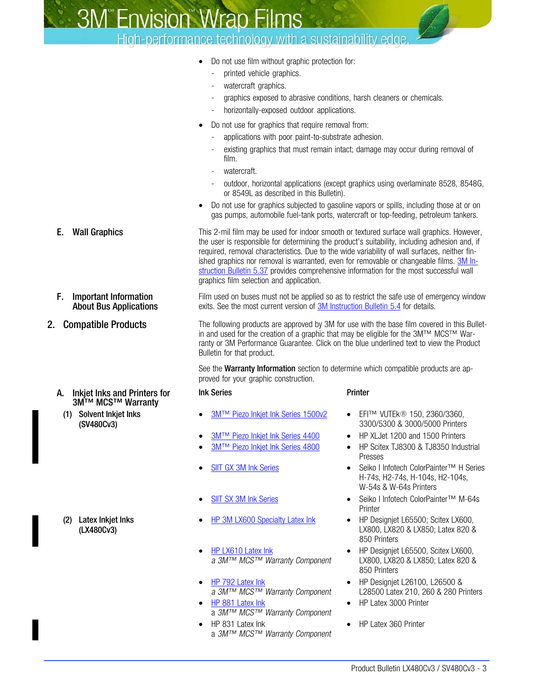**SM<sup>®</sup>Envision® Wrap Films** 

## High-performance technology with a sustainability edge.

- Do not use film without graphic protection for:
	- printed vehicle graphics.
	- watercraft graphics.
	- graphics exposed to abrasive conditions, harsh cleaners or chemicals.
	- horizontally-exposed outdoor applications.
- Do not use for graphics that require removal from:
	- applications with poor paint-to-substrate adhesion.
	- existing graphics that must remain intact; damage may occur during removal of film.
	- watercraft.
	- outdoor, horizontal applications (except graphics using overlaminate 8528, 8548G, or 8549L as described in this Bulletin).
- Do not use for graphics subjected to gasoline vapors or spills, including those at or on gas pumps, automobile fuel-tank ports, watercraft or top-feeding, petroleum tankers.

**E.** Wall Graphics This 2-mil film may be used for indoor smooth or textured surface wall graphics. However, the user is responsible for determining the product's suitability, including adhesion and, if required, removal characteristics. Due to the wide variability of wall surfaces, neither finished graphics nor removal is warranted, even for removable or changeable films. [3M In](http://multimedia.mmm.com/mws/mediawebserver.dyn?6666660Zjcf6lVs6EVs666PrWCOrrrrQ-)[struction Bulletin 5.37](http://multimedia.mmm.com/mws/mediawebserver.dyn?6666660Zjcf6lVs6EVs666PrWCOrrrrQ-) provides comprehensive information for the most successful wall graphics film selection and application.

> Film used on buses must not be applied so as to restrict the safe use of emergency window exits. See the most current version of [3M Instruction Bulletin 5.4](http://multimedia.mmm.com/mws/mediawebserver.dyn?6666660Zjcf6lVs6EVs666TtNCOrrrrQ-) for details.

2. Compatible Products The following products are approved by 3M for use with the base film covered in this Bulletin and used for the creation of a graphic that may be eligible for the 3M™ MCS™ Warranty or 3M Performance Guarantee. Click on the blue underlined text to view the Product Bulletin for that product.

> See the **Warranty Information** section to determine which compatible products are approved for your graphic construction.

#### Ink Series **Printer**

- 3M™ Piezo Inkiet Ink Series 1500v2
- 
- 
- 
- 
- 
- [HP LX610 Latex Ink](http://multimedia.3m.com/mws/mediawebserver?mwsId=66666UF6EVsSyXTtoXMyNXM_EVtQEVs6EVs6EVs6E666666--) a 3M™ MCS™ Warranty Component
- **[HP 792 Latex Ink](http://multimedia.3m.com/mws/mediawebserver?mwsId=SSSSSuH8gc7nZxtU58_vPxmGevUqe17zHvTSevTSeSSSSSS--)** a 3M™ MCS™ Warranty Component
- **[HP 881 Latex Ink](http://multimedia.3m.com/mws/mediawebserver?mwsId=SSSSSuH8gc7n_xtUPx_Uo8mSevUqevTSevTSevTSeSSSSSS--)** a 3M™ MCS™ Warranty Component
- HP 831 Latex Ink a 3M™ MCS™ Warranty Component
- EFI™ VUTEk® 150, 2360/3360, 3300/5300 & 3000/5000 Printers
- **<u>[3M™ Piezo Inkjet Ink Series 4400](http://multimedia.3m.com/mws/mediawebserver?mwsId=66666UgxGCuNyXTtNXMElxf6EVtQEcuZgVs6EVs6E666666--)</u>** HP XLJet 1200 and 1500 Printers<br>3M™ Piezo Inkjet Ink Series 4800 HP Scitex TJ8300 & TJ8350 Indus
	- HP Scitex TJ8300 & TJ8350 Industrial Presses
- [SIIT GX 3M Ink Series](http://multimedia.3m.com/mws/mediawebserver?mwsId=SSSSSuH8gc7nZxtUoY_UP82xevUqe17zHvTSevTSeSSSSSS--) Seiko I Infotech ColorPainter™ H Series H-74s, H2-74s, H-104s, H2-104s, W-54s & W-64s Printers
- [SIIT SX 3M Ink Series](http://multimedia.3m.com/mws/mediawebserver?mwsId=SSSSSuH8gc7nZxtUPYtv5x_eevUqe17zHvTSevTSeSSSSSS--) Seiko I Infotech ColorPainter™ M-64s **Printer**
- [HP 3M LX600 Specialty Latex Ink](http://multimedia.3m.com/mws/mediawebserver?mwsId=66666UgxGCuNyXTtOxTyL8T2EVtQEcuZgVs6EVs6E666666--) HP Designjet L65500; Scitex LX600, LX800, LX820 & LX850; Latex 820 & 850 Printers
	- HP Designiet L65500, Scitex LX600, LX800, LX820 & LX850; Latex 820 & 850 Printers
	- HP Designjet L26100, L26500 & L28500 Latex 210, 260 & 280 Printers
	- HP Latex 3000 Printer
	- HP Latex 360 Printer

- F. Important Information About Bus Applications
- 

## A. Inkjet Inks and Printers for 3M™ MCS™ Warranty

(1) Solvent Inkjet Inks (SV480Cv3)

(2) Latex Inkjet Inks (LX480Cv3)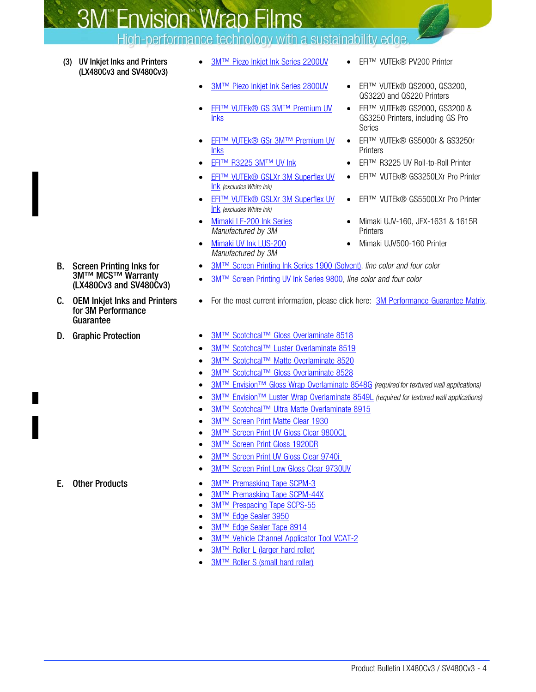**S. 3M** Envision Wrap Films

High-performance technology with a sustainability edge.

- (3) UV Inkjet Inks and Printers (LX480Cv3 and SV480Cv3)
- [3M™ Piezo Inkjet Ink Series 2200UV](http://multimedia.3m.com/mws/mediawebserver?mwsId=SSSSSuH8gc7nZxtUNx_enxmGevUqe17zHvTSevTSeSSSSSS--) EFI™ VUTEk® PV200 Printer
- 
- **[EFI™ VUTEk® GS 3M™ Premium UV](http://multimedia.3m.com/mws/mediawebserver?mwsId=SSSSSuH8gc7nZxtUo8_1N8t9evUqe17zHvTSevTSeSSSSSS--)** [Inks](http://multimedia.3m.com/mws/mediawebserver?mwsId=SSSSSuH8gc7nZxtUo8_1N8t9evUqe17zHvTSevTSeSSSSSS--)
- **[EFI™ VUTEk® GSr 3M™ Premium UV](http://multimedia.3m.com/mws/mediawebserver?nnnnnpQ7fzaOgs5Pjs5zHTv80RQ40zQ7cRon0Ron0nnnnnn--)** [Inks](http://multimedia.3m.com/mws/mediawebserver?nnnnnpQ7fzaOgs5Pjs5zHTv80RQ40zQ7cRon0Ron0nnnnnn--)
- 
- **[EFI™ VUTEk® GSLXr 3M Superflex UV](http://multimedia.3m.com/mws/mediawebserver?mwsId=66666UgxGCuNyXTt5XM2NXTcEVtQEcuZgVs6EVs6E666666--)** [Ink](http://multimedia.3m.com/mws/mediawebserver?mwsId=66666UgxGCuNyXTt5XM2NXTcEVtQEcuZgVs6EVs6E666666--) (excludes White Ink)
- [EFI™ VUTEk® GSLXr 3M Superflex UV](http://multimedia.3m.com/mws/mediawebserver?mwsId=66666UgxGCuNyXTt5XM2NXTcEVtQEcuZgVs6EVs6E666666--) [Ink](http://multimedia.3m.com/mws/mediawebserver?mwsId=66666UgxGCuNyXTt5XM2NXTcEVtQEcuZgVs6EVs6E666666--) (excludes White Ink)
- [Mimaki LF-200 Ink Series](http://multimedia.3m.com/mws/mediawebserver?mwsId=SSSSSuH8gc7nZxtUn8_GPYtGevUqe17zHvTSevTSeSSSSSS--) Manufactured by 3M
- [Mimaki UV Ink LUS-200](http://multimedia.3m.com/mws/mediawebserver?mwsId=SSSSSuH8gc7nZxtUPx_Uo8tBevUqe17zHvTSevTSeSSSSSS--) Manufactured by 3M
- 
- [3M™ Piezo Inkjet Ink Series 2800UV](http://multimedia.3m.com/mws/mediawebserver?mwsId=SSSSSuH8gc7nZxtUNY_ZoxtBevUqe17zHvTSevTSeSSSSSS--) EFI™ VUTEk® QS2000, QS3200, QS3220 and QS220 Printers
	- EFI™ VUTEk® GS2000, GS3200 & GS3250 Printers, including GS Pro Series
	- EFI™ VUTEk® GS5000r & GS3250r **Printers**
- [EFI™ R3225 3M™ UV Ink](http://multimedia.3m.com/mws/mediawebserver?mwsId=66666UF6EVsSyXTtoXfyLXMEEVtQEVs6EVs6EVs6E666666--) EFI™ R3225 UV Roll-to-Roll Printer
	- EFI™ VUTEk® GS3250LXr Pro Printer
	- EFI™ VUTEk® GS5500LXr Pro Printer
	- Mimaki UJV-160, JFX-1631 & 1615R **Printers**
	- Mimaki UJV500-160 Printer
- [3M™ Screen Printing Ink Series 1900 \(Solvent\),](http://multimedia.3m.com/mws/mediawebserver?mwsId=66666UgxGCuNyXTtlXfXm8s6EVtQEcuZgVs6EVs6E666666--) line color and four color
- [3M™ Screen Printing UV Ink Series 9800,](http://multimedia.3m.com/mws/mediawebserver?mwsId=66666UF6EVsSyXTtM8TtMxM2EVtQEVs6EVs6EVs6E666666--) line color and four color
- For the most current information, please click here: [3M Performance Guarantee Matrix](http://multimedia.3m.com/mws/mediawebserver?mwsId=66666UF6EVsSyXTtmxTXMxfyEVtQEVs6EVs6EVs6E666666--&fn=PG%20Warranty%20Matrix.pdf).
- D. Graphic Protection [3M™ Scotchcal™ Gloss Overlaminate 8518](http://multimedia.3m.com/mws/mediawebserver?mwsId=SSSSSuH8gc7nZxtUn8_enxmUevUqe17zHvTSevTSeSSSSSS--)
	- [3M™ Scotchcal™ Luster Overlaminate 8519](http://multimedia.3m.com/mws/mediawebserver?mwsId=SSSSSuH8gc7nZxtUn8_enxmUevUqe17zHvTSevTSeSSSSSS--)
	- **[3M™ Scotchcal™ Matte Overlaminate 8520](http://multimedia.3m.com/mws/mediawebserver?mwsId=SSSSSuH8gc7nZxtUn8_enxmUevUqe17zHvTSevTSeSSSSSS--)**
	- [3M™ Scotchcal™ Gloss Overlaminate 8528](http://multimedia.3m.com/mws/mediawebserver?mwsId=SSSSSuH8gc7nZxtUn8_enxmUevUqe17zHvTSevTSeSSSSSS--)
	- 3M<sup>™</sup> Envision™ Gloss Wrap Overlaminate 8548G (required for textured wall applications)
	- **[3M™ Envision™ Luster Wrap Overlaminate 8549L](http://multimedia.3m.com/mws/mediawebserver?mwsId=SSSSSuH8gc7nZxtUn8_enxmUevUqe17zHvTSevTSeSSSSSS--)** (required for textured wall applications)
	- [3M™ Scotchcal™ Ultra Matte Overlaminate 8915](http://multimedia.3m.com/mws/mediawebserver?mwsId=SSSSSuH8gc7nZxtUn8_enxmUevUqe17zHvTSevTSeSSSSSS--)
	- [3M™ Screen Print Matte Clear 1930](http://multimedia.3m.com/mws/mediawebserver?mwsId=66666UgxGCuNyXTtlXfXm8s6EVtQEcuZgVs6EVs6E666666--)
	- **[3M™ Screen Print UV Gloss Clear 9800CL](http://multimedia.3m.com/mws/mediawebserver?mwsId=66666UF6EVsSyXTtM8TtMxM2EVtQEVs6EVs6EVs6E666666--)**
	- [3M™ Screen Print Gloss 1920DR](http://multimedia.3m.com/mws/mediawebserver?mwsId=66666UgxGCuNyXTtlXfXm8s6EVtQEcuZgVs6EVs6E666666--)
	- [3M™ Screen Print UV Gloss Clear 9740i](http://multimedia.3m.com/mws/mediawebserver?mwsId=SSSSSufSevTsZxtU5x_GM8tGevUqevTSevTSevTSeSSSSSS--)
	- **[3M™ Screen Print Low Gloss Clear 9730UV](http://multimedia.3m.com/mws/mediawebserver?mwsId=SSSSSuH8gc7nZxtUn8_enxmUevUqe17zHvTSevTSeSSSSSS--)**
- E. Other Products [3M™ Premasking Tape SCPM-3](http://multimedia.3m.com/mws/mediawebserver?6666660Zjcf6lVs6EVs666Tt3COrrrrQ-)
	- **[3M™ Premasking Tape SCPM-44X](http://multimedia.3m.com/mws/mediawebserver?6666660Zjcf6lVs6EVs666Tt3COrrrrQ-)**
	- **[3M™ Prespacing Tape SCPS-55](http://multimedia.3m.com/mws/mediawebserver?6666660Zjcf6lVs6EVs666Tt3COrrrrQ-)**
	- [3M™ Edge Sealer 3950](http://multimedia.3m.com/mws/mediawebserver?6666660Zjcf6lVs6EVs666COKCOrrrrQ-)
	- [3M™ Edge Sealer Tape 8914](http://multimedia.3m.com/mws/mediawebserver?6666660Zjcf6lVs6EVs666COKCOrrrrQ-)
	- **[3M™ Vehicle Channel Applicator Tool VCAT-2](http://multimedia.3m.com/mws/mediawebserver?66666UuZjcFSLXTtmxMtOxTyEVuQEcuZgVs6EVs6E666666--)**
	- **[3M™ Roller L \(larger hard roller\)](http://multimedia.3m.com/mws/mediawebserver?66666UuZjcFSLXTtmxMtOxTyEVuQEcuZgVs6EVs6E666666--)**
	- [3M™ Roller S \(small hard roller\)](http://multimedia.3m.com/mws/mediawebserver?66666UuZjcFSLXTtmxMtOxTyEVuQEcuZgVs6EVs6E666666--)
- B. Screen Printing Inks for 3M™ MCS™ Warranty (LX480Cv3 and SV480Cv3)
- C. OEM Inkjet Inks and Printers for 3M Performance Guarantee
-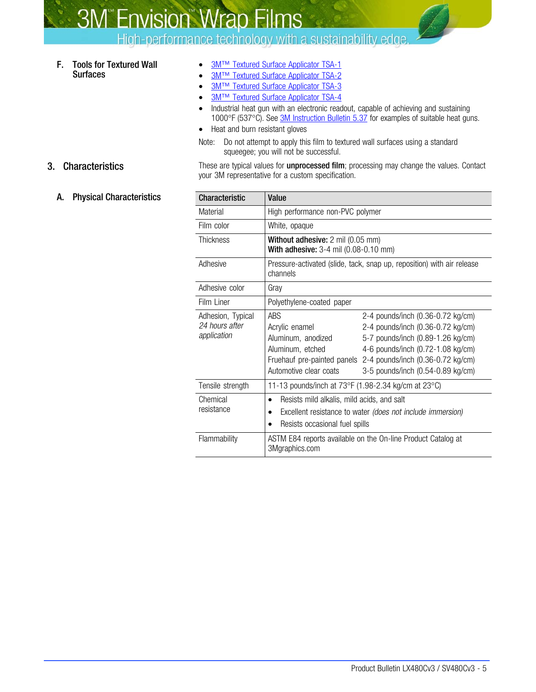High-performance technology with a sustainability edge.

### F. Tools for Textured Wall **Surfaces**

- 3M<sup>™</sup> Textured Surface Applicator TSA-1
- 3M<sup>™</sup> Textured Surface Applicator TSA-2
- [3M™ Textured Surface Applicator TSA-3](http://multimedia.3m.com/mws/mediawebserver?6666660Zjcf6lVs6EVs66SJ97COrrrrQ-)
- [3M™ Textured Surface Applicator TSA-4](http://multimedia.3m.com/mws/mediawebserver?6666660Zjcf6lVs6EVs66SJ97COrrrrQ-)
- Industrial heat gun with an electronic readout, capable of achieving and sustaining 1000°F (537°C). See [3M Instruction Bulletin 5.37](http://multimedia.3m.com/mws/mediawebserver?6666660Zjcf6lVs6EVs666PrWCOrrrrQ-) for examples of suitable heat guns.
- Heat and burn resistant gloves
- Note: Do not attempt to apply this film to textured wall surfaces using a standard squeegee; you will not be successful.

3. Characteristics These are typical values for unprocessed film; processing may change the values. Contact your 3M representative for a custom specification.

A. Physical Characteristics

| Characteristic                                     | Value                                                                                          |                                                                                                                                                                                                                                                        |  |  |  |  |  |  |  |  |
|----------------------------------------------------|------------------------------------------------------------------------------------------------|--------------------------------------------------------------------------------------------------------------------------------------------------------------------------------------------------------------------------------------------------------|--|--|--|--|--|--|--|--|
| Material                                           | High performance non-PVC polymer                                                               |                                                                                                                                                                                                                                                        |  |  |  |  |  |  |  |  |
| Film color                                         | White, opaque                                                                                  |                                                                                                                                                                                                                                                        |  |  |  |  |  |  |  |  |
| <b>Thickness</b>                                   |                                                                                                | Without adhesive: 2 mil (0.05 mm)<br>With adhesive: 3-4 mil (0.08-0.10 mm)                                                                                                                                                                             |  |  |  |  |  |  |  |  |
| Adhesive                                           | channels                                                                                       | Pressure-activated (slide, tack, snap up, reposition) with air release                                                                                                                                                                                 |  |  |  |  |  |  |  |  |
| Adhesive color                                     | Gray                                                                                           |                                                                                                                                                                                                                                                        |  |  |  |  |  |  |  |  |
| Film Liner                                         | Polyethylene-coated paper                                                                      |                                                                                                                                                                                                                                                        |  |  |  |  |  |  |  |  |
| Adhesion, Typical<br>24 hours after<br>application | ABS<br>Acrylic enamel<br>Aluminum, anodized<br>Aluminum, etched<br>Automotive clear coats      | 2-4 pounds/inch (0.36-0.72 kg/cm)<br>2-4 pounds/inch (0.36-0.72 kg/cm)<br>5-7 pounds/inch (0.89-1.26 kg/cm)<br>4-6 pounds/inch (0.72-1.08 kg/cm)<br>Fruehauf pre-painted panels 2-4 pounds/inch (0.36-0.72 kg/cm)<br>3-5 pounds/inch (0.54-0.89 kg/cm) |  |  |  |  |  |  |  |  |
| Tensile strength                                   | 11-13 pounds/inch at 73°F (1.98-2.34 kg/cm at 23°C)                                            |                                                                                                                                                                                                                                                        |  |  |  |  |  |  |  |  |
| Chemical<br>resistance                             | Resists mild alkalis, mild acids, and salt<br>$\bullet$<br>Resists occasional fuel spills<br>٠ | Excellent resistance to water (does not include immersion)                                                                                                                                                                                             |  |  |  |  |  |  |  |  |
| Flammability                                       | 3Mgraphics.com                                                                                 | ASTM E84 reports available on the On-line Product Catalog at                                                                                                                                                                                           |  |  |  |  |  |  |  |  |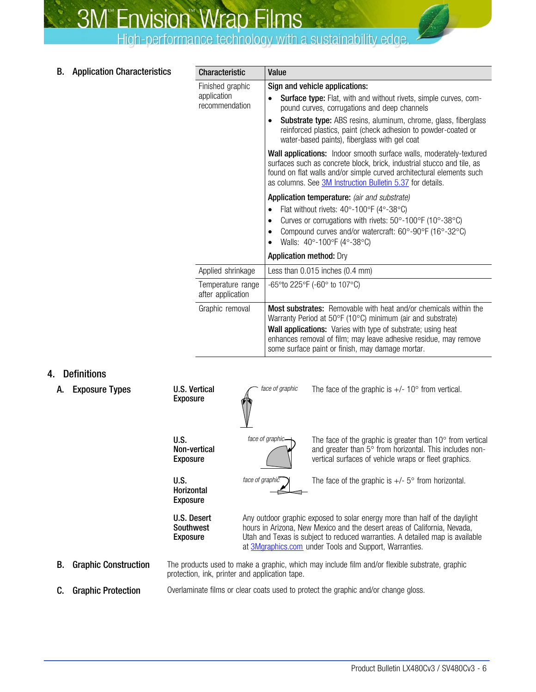<span id="page-5-0"></span>

| <b>Application Characteristics</b><br>В. | <b>Characteristic</b> | Value |
|------------------------------------------|-----------------------|-------|
|------------------------------------------|-----------------------|-------|

| <b>Characteristic</b>                             | Value                                                                                                                                                                                                                                                                                                                               |  |  |  |  |  |  |  |
|---------------------------------------------------|-------------------------------------------------------------------------------------------------------------------------------------------------------------------------------------------------------------------------------------------------------------------------------------------------------------------------------------|--|--|--|--|--|--|--|
| Finished graphic<br>application<br>recommendation | Sign and vehicle applications:<br><b>Surface type:</b> Flat, with and without rivets, simple curves, com-<br>pound curves, corrugations and deep channels<br><b>Substrate type:</b> ABS resins, aluminum, chrome, glass, fiberglass<br>reinforced plastics, paint (check adhesion to powder-coated or                               |  |  |  |  |  |  |  |
|                                                   | water-based paints), fiberglass with gel coat<br>Wall applications: Indoor smooth surface walls, moderately-textured<br>surfaces such as concrete block, brick, industrial stucco and tile, as<br>found on flat walls and/or simple curved architectural elements such<br>as columns. See 3M Instruction Bulletin 5.37 for details. |  |  |  |  |  |  |  |
|                                                   | Application temperature: (air and substrate)<br>Flat without rivets: $40^{\circ}$ -100°F (4°-38°C)<br>$\bullet$<br>Curves or corrugations with rivets: 50°-100°F (10°-38°C)<br>Compound curves and/or watercraft: 60°-90°F (16°-32°C)<br>Walls: 40°-100°F (4°-38°C)                                                                 |  |  |  |  |  |  |  |
|                                                   | <b>Application method: Dry</b>                                                                                                                                                                                                                                                                                                      |  |  |  |  |  |  |  |
| Applied shrinkage                                 | Less than $0.015$ inches $(0.4$ mm)                                                                                                                                                                                                                                                                                                 |  |  |  |  |  |  |  |
| Temperature range<br>after application            | $-65^{\circ}$ to 225 $^{\circ}$ F ( $-60^{\circ}$ to 107 $^{\circ}$ C)                                                                                                                                                                                                                                                              |  |  |  |  |  |  |  |
| Graphic removal                                   | <b>Most substrates:</b> Removable with heat and/or chemicals within the<br>Warranty Period at 50°F (10°C) minimum (air and substrate)<br>Wall applications: Varies with type of substrate; using heat<br>enhances removal of film; may leave adhesive residue, may remove<br>some surface paint or finish, may damage mortar.       |  |  |  |  |  |  |  |

## 4. Definitions

| А. | <b>Exposure Types</b>       | <b>U.S. Vertical</b><br><b>Exposure</b>      | face of graphic                                                                                                                                                                                                                                                                                         | The face of the graphic is $+/- 10^{\circ}$ from vertical.                                                                                                                             |  |  |  |  |  |  |  |
|----|-----------------------------|----------------------------------------------|---------------------------------------------------------------------------------------------------------------------------------------------------------------------------------------------------------------------------------------------------------------------------------------------------------|----------------------------------------------------------------------------------------------------------------------------------------------------------------------------------------|--|--|--|--|--|--|--|
|    |                             | U.S.<br>Non-vertical<br><b>Exposure</b>      | face of graphic-                                                                                                                                                                                                                                                                                        | The face of the graphic is greater than $10^{\circ}$ from vertical<br>and greater than 5° from horizontal. This includes non-<br>vertical surfaces of vehicle wraps or fleet graphics. |  |  |  |  |  |  |  |
|    |                             | U.S.<br><b>Horizontal</b><br><b>Exposure</b> | The face of the graphic is $+/-$ 5° from horizontal.                                                                                                                                                                                                                                                    |                                                                                                                                                                                        |  |  |  |  |  |  |  |
|    |                             | U.S. Desert<br>Southwest<br><b>Exposure</b>  | Any outdoor graphic exposed to solar energy more than half of the daylight<br>hours in Arizona, New Mexico and the desert areas of California, Nevada,<br>Utah and Texas is subject to reduced warranties. A detailed map is available<br>at <b>3Mgraphics.com</b> under Tools and Support, Warranties. |                                                                                                                                                                                        |  |  |  |  |  |  |  |
| В. | <b>Graphic Construction</b> |                                              | The products used to make a graphic, which may include film and/or flexible substrate, graphic<br>protection, ink, printer and application tape.                                                                                                                                                        |                                                                                                                                                                                        |  |  |  |  |  |  |  |
| C. | <b>Graphic Protection</b>   |                                              |                                                                                                                                                                                                                                                                                                         | Overlaminate films or clear coats used to protect the graphic and/or change gloss.                                                                                                     |  |  |  |  |  |  |  |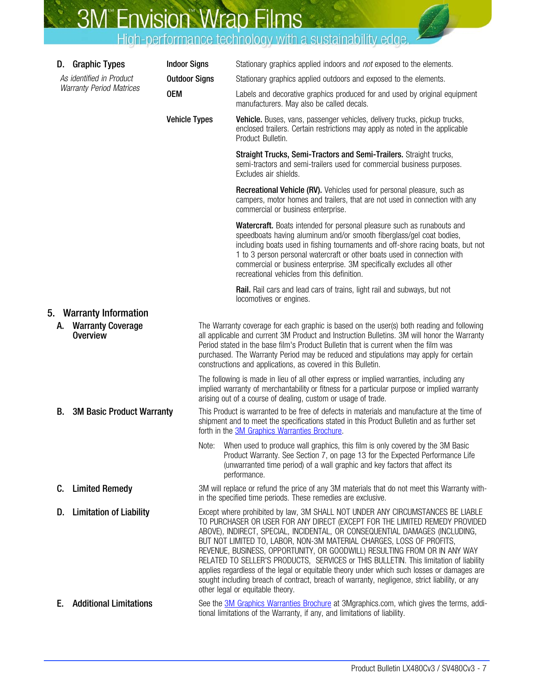<span id="page-6-0"></span>

|    | D. Graphic Types                            | <b>Indoor Signs</b>  | Stationary graphics applied indoors and not exposed to the elements.                                                                                                                                                                                                                                                                                                                                                                                                                                                                                                                                                                                                                                                          |  |  |  |  |  |  |
|----|---------------------------------------------|----------------------|-------------------------------------------------------------------------------------------------------------------------------------------------------------------------------------------------------------------------------------------------------------------------------------------------------------------------------------------------------------------------------------------------------------------------------------------------------------------------------------------------------------------------------------------------------------------------------------------------------------------------------------------------------------------------------------------------------------------------------|--|--|--|--|--|--|
|    | As identified in Product                    | <b>Outdoor Signs</b> | Stationary graphics applied outdoors and exposed to the elements.                                                                                                                                                                                                                                                                                                                                                                                                                                                                                                                                                                                                                                                             |  |  |  |  |  |  |
|    | <b>Warranty Period Matrices</b>             | <b>OEM</b>           | Labels and decorative graphics produced for and used by original equipment<br>manufacturers. May also be called decals.                                                                                                                                                                                                                                                                                                                                                                                                                                                                                                                                                                                                       |  |  |  |  |  |  |
|    |                                             | <b>Vehicle Types</b> | Vehicle. Buses, vans, passenger vehicles, delivery trucks, pickup trucks,<br>enclosed trailers. Certain restrictions may apply as noted in the applicable<br>Product Bulletin.                                                                                                                                                                                                                                                                                                                                                                                                                                                                                                                                                |  |  |  |  |  |  |
|    |                                             |                      | Straight Trucks, Semi-Tractors and Semi-Trailers. Straight trucks,<br>semi-tractors and semi-trailers used for commercial business purposes.<br>Excludes air shields.                                                                                                                                                                                                                                                                                                                                                                                                                                                                                                                                                         |  |  |  |  |  |  |
|    |                                             |                      | Recreational Vehicle (RV). Vehicles used for personal pleasure, such as<br>campers, motor homes and trailers, that are not used in connection with any<br>commercial or business enterprise.                                                                                                                                                                                                                                                                                                                                                                                                                                                                                                                                  |  |  |  |  |  |  |
|    |                                             |                      | Watercraft. Boats intended for personal pleasure such as runabouts and<br>speedboats having aluminum and/or smooth fiberglass/gel coat bodies,<br>including boats used in fishing tournaments and off-shore racing boats, but not<br>1 to 3 person personal watercraft or other boats used in connection with<br>commercial or business enterprise. 3M specifically excludes all other<br>recreational vehicles from this definition.                                                                                                                                                                                                                                                                                         |  |  |  |  |  |  |
|    |                                             |                      | Rail. Rail cars and lead cars of trains, light rail and subways, but not<br>locomotives or engines.                                                                                                                                                                                                                                                                                                                                                                                                                                                                                                                                                                                                                           |  |  |  |  |  |  |
| 5. | <b>Warranty Information</b>                 |                      |                                                                                                                                                                                                                                                                                                                                                                                                                                                                                                                                                                                                                                                                                                                               |  |  |  |  |  |  |
| А. | <b>Warranty Coverage</b><br><b>Overview</b> |                      | The Warranty coverage for each graphic is based on the user(s) both reading and following<br>all applicable and current 3M Product and Instruction Bulletins. 3M will honor the Warranty<br>Period stated in the base film's Product Bulletin that is current when the film was<br>purchased. The Warranty Period may be reduced and stipulations may apply for certain<br>constructions and applications, as covered in this Bulletin.                                                                                                                                                                                                                                                                                       |  |  |  |  |  |  |
|    |                                             |                      | The following is made in lieu of all other express or implied warranties, including any<br>implied warranty of merchantability or fitness for a particular purpose or implied warranty<br>arising out of a course of dealing, custom or usage of trade.                                                                                                                                                                                                                                                                                                                                                                                                                                                                       |  |  |  |  |  |  |
| В. | <b>3M Basic Product Warranty</b>            |                      | This Product is warranted to be free of defects in materials and manufacture at the time of<br>shipment and to meet the specifications stated in this Product Bulletin and as further set<br>forth in the 3M Graphics Warranties Brochure.                                                                                                                                                                                                                                                                                                                                                                                                                                                                                    |  |  |  |  |  |  |
|    |                                             | Note:                | When used to produce wall graphics, this film is only covered by the 3M Basic<br>Product Warranty. See Section 7, on page 13 for the Expected Performance Life<br>(unwarranted time period) of a wall graphic and key factors that affect its<br>performance.                                                                                                                                                                                                                                                                                                                                                                                                                                                                 |  |  |  |  |  |  |
| C. | <b>Limited Remedy</b>                       |                      | 3M will replace or refund the price of any 3M materials that do not meet this Warranty with-<br>in the specified time periods. These remedies are exclusive.                                                                                                                                                                                                                                                                                                                                                                                                                                                                                                                                                                  |  |  |  |  |  |  |
| D. | <b>Limitation of Liability</b>              |                      | Except where prohibited by law, 3M SHALL NOT UNDER ANY CIRCUMSTANCES BE LIABLE<br>TO PURCHASER OR USER FOR ANY DIRECT (EXCEPT FOR THE LIMITED REMEDY PROVIDED<br>ABOVE), INDIRECT, SPECIAL, INCIDENTAL, OR CONSEQUENTIAL DAMAGES (INCLUDING,<br>BUT NOT LIMITED TO, LABOR, NON-3M MATERIAL CHARGES, LOSS OF PROFITS,<br>REVENUE, BUSINESS, OPPORTUNITY, OR GOODWILL) RESULTING FROM OR IN ANY WAY<br>RELATED TO SELLER'S PRODUCTS, SERVICES or THIS BULLETIN. This limitation of liability<br>applies regardless of the legal or equitable theory under which such losses or damages are<br>sought including breach of contract, breach of warranty, negligence, strict liability, or any<br>other legal or equitable theory. |  |  |  |  |  |  |
| Е. | <b>Additional Limitations</b>               |                      | See the <b>3M Graphics Warranties Brochure</b> at 3Mgraphics.com, which gives the terms, addi-<br>tional limitations of the Warranty, if any, and limitations of liability.                                                                                                                                                                                                                                                                                                                                                                                                                                                                                                                                                   |  |  |  |  |  |  |

D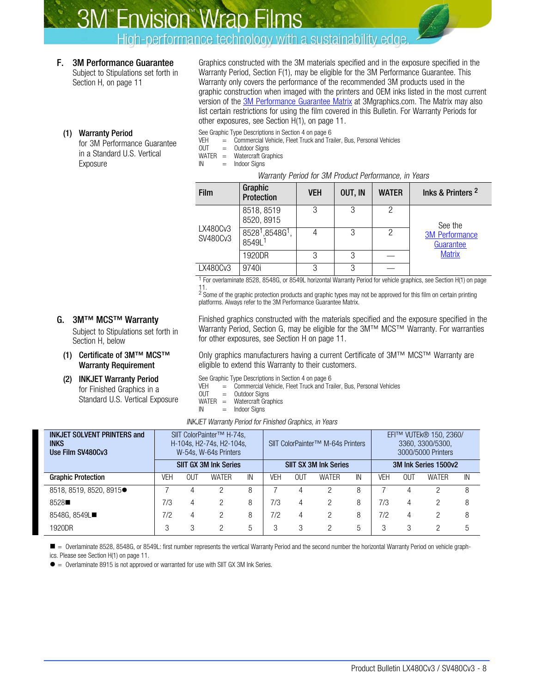High-performance technology with a sustainability edge.

## <span id="page-7-0"></span>F. 3M Performance Guarantee

Subject to Stipulations set forth in Section H, on page [11](#page-10-0)

Graphics constructed with the 3M materials specified and in the exposure specified in the Warranty Period, Section F(1), may be eligible for the 3M Performance Guarantee. This Warranty only covers the performance of the recommended 3M products used in the graphic construction when imaged with the printers and OEM inks listed in the most current version of the [3M Performance Guarantee Matrix](http://multimedia.3m.com/mws/mediawebserver?mwsId=66666UuZjcFSLXTtmxTXMxfyEVuQEcuZgVs6EVs6E666666--) at 3Mgraphics.com. The Matrix may also list certain restrictions for using the film covered in this Bulletin. For Warranty Periods for other exposures, see Section [H\(1\)](#page-10-0), on page [11](#page-10-0).

#### (1) Warranty Period

for 3M Performance Guarantee in a Standard U.S. Vertical Exposure

#### See Graphic Type Descriptions in Section [4](#page-5-0) on page [6](#page-5-0)

VEH = Commercial Vehicle, Fleet Truck and Trailer, Bus, Personal Vehicles<br>OUT = Outdoor Signs

 $=$  Outdoor Signs

- WATER = Watercraft Graphics
- $IN = Indoor$  Signs

#### Warranty Period for 3M Product Performance, in Years

| <b>Film</b>          | Graphic<br><b>Protection</b>                                  | <b>VEH</b> | OUT, IN | <b>WATER</b> | lnks & Printers 2                  |
|----------------------|---------------------------------------------------------------|------------|---------|--------------|------------------------------------|
|                      | 8518, 8519<br>8520, 8915                                      | 3          | 3       |              | See the                            |
| LX480Cv3<br>SV480Cv3 | 8528 <sup>1</sup> ,8548G <sup>1</sup> ,<br>8549L <sup>1</sup> | 4          | 3       | 2            | <b>3M Performance</b><br>Guarantee |
|                      | 1920DR                                                        | 3          | 3       |              | <b>Matrix</b>                      |
| LX480Cv3             | 9740i                                                         | 3          | 3       |              |                                    |

1 For overlaminate 8528, 8548G, or 8549L horizontal Warranty Period for vehicle graphics, see Section [H\(1\)](#page-10-0) on page

[11.](#page-10-0) 2 Some of the graphic protection products and graphic types may not be approved for this film on certain printing platforms. Always refer to the 3M Performance Guarantee Matrix.

## G. 3M™ MCS™ Warranty

Subject to Stipulations set forth in Section [H](#page-10-0), below

#### (1) Certificate of 3M™ MCS™ Warranty Requirement

## (2) INKJET Warranty Period

for Finished Graphics in a Standard U.S. Vertical Exposure Finished graphics constructed with the materials specified and the exposure specified in the Warranty Period, Section G, may be eligible for the 3M™ MCS™ Warranty. For warranties for other exposures, see Section [H](#page-10-0) on page [11.](#page-10-0)

Only graphics manufacturers having a current Certificate of 3M™ MCS™ Warranty are eligible to extend this Warranty to their customers.

See Graphic Type Descriptions in Section [4](#page-5-0) on page [6](#page-5-0)

VEH  $=$  Commercial Vehicle, Fleet Truck and Trailer, Bus, Personal Vehicles<br>OUT = Outdoor Signs

- Outdoor Signs
- WATER = Watercraft Graphics
- $IN = Indoor Sians$

INKJET Warranty Period for Finished Graphics, in Years

| <b>INKJET SOLVENT PRINTERS and</b><br><b>INKS</b><br>Use Film SV480Cv3 |     |     | SIIT ColorPainter <sup>™</sup> H-74s,<br>H-104s, H2-74s, H2-104s,<br>W-54s, W-64s Printers |    |                              |     | SIIT ColorPainter <sup>™</sup> M-64s Printers |    | EFI™ VUTEk® 150, 2360/<br>3360, 3300/5300,<br>3000/5000 Printers |     |              |    |
|------------------------------------------------------------------------|-----|-----|--------------------------------------------------------------------------------------------|----|------------------------------|-----|-----------------------------------------------|----|------------------------------------------------------------------|-----|--------------|----|
|                                                                        |     |     | <b>SIIT GX 3M Ink Series</b>                                                               |    | <b>SIIT SX 3M Ink Series</b> |     |                                               |    | 3M Ink Series 1500v2                                             |     |              |    |
| <b>Graphic Protection</b>                                              | VEH | OUT | <b>WATER</b>                                                                               | IN | VEH                          | OUT | <b>WATER</b>                                  | IN | VEH                                                              | OUT | <b>WATER</b> | IN |
| 8518, 8519, 8520, 8915                                                 |     |     |                                                                                            | 8  |                              |     |                                               | 8  |                                                                  |     |              | 8  |
| 8528                                                                   | 7/3 | 4   | 2                                                                                          | 8  | 7/3                          | 4   |                                               | 8  | 7/3                                                              | 4   |              | 8  |
| 8548G, 8549L■                                                          | 7/2 | 4   | 2                                                                                          | 8  | 7/2                          | 4   | 2                                             | 8  | 7/2                                                              | 4   |              | 8  |
| 1920DR                                                                 |     | 3   | ≘                                                                                          | 5  | 3                            |     |                                               | 5  |                                                                  | 3   |              | 5  |

■ = Overlaminate 8528, 8548G, or 8549L: first number represents the vertical Warranty Period and the second number the horizontal Warranty Period on vehicle graphics. Please see Section [H\(1\)](#page-10-0) on page [11.](#page-10-0)

• = Overlaminate 8915 is not approved or warranted for use with SIIT GX 3M Ink Series.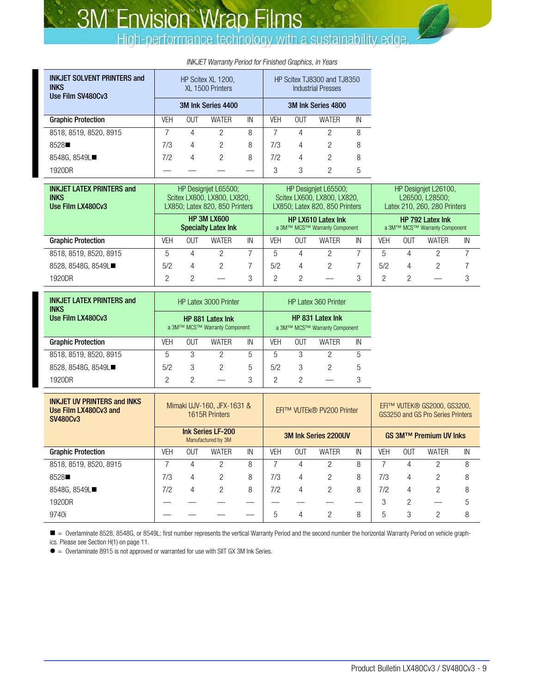| <b>INKJET SOLVENT PRINTERS and</b><br><b>INKS</b><br>Use Film SV480Cv3 |     |     | HP Scitex XL 1200,<br>XL 1500 Printers |                    | HP Scitex TJ8300 and TJ8350<br><b>Industrial Presses</b> |     |       |    |  |  |  |
|------------------------------------------------------------------------|-----|-----|----------------------------------------|--------------------|----------------------------------------------------------|-----|-------|----|--|--|--|
|                                                                        |     |     | 3M Ink Series 4400                     | 3M Ink Series 4800 |                                                          |     |       |    |  |  |  |
| <b>Graphic Protection</b>                                              | VEH | OUT | WATER                                  | IN                 | VEH                                                      | 0UT | WATER | IN |  |  |  |
| 8518, 8519, 8520, 8915                                                 |     | 4   | 2                                      | 8                  |                                                          | 4   | 2     | 8  |  |  |  |
| 8528                                                                   | 7/3 | 4   | 2                                      | 8                  | 7/3                                                      | 4   | 2     | 8  |  |  |  |
| 8548G, 8549L■                                                          | 7/2 | 4   | 2                                      | 8                  | 7/2                                                      | 4   | 2     | 8  |  |  |  |
| 1920DR                                                                 |     |     |                                        |                    | 3                                                        | 3   | 2     | 5  |  |  |  |

#### INKJET Warranty Period for Finished Graphics, in Years

| <b>INKJET LATEX PRINTERS and</b><br><b>INKS</b><br>Use Film LX480Cv3 |     |     | HP Designiet L65500;<br>Scitex LX600, LX800, LX820,<br>LX850; Latex 820, 850 Printers |    |                                                            | HP Designiet L65500;<br>Scitex LX600, LX800, LX820,<br>LX850; Latex 820, 850 Printers |              | HP Designiet L26100.<br>L26500, L28500;<br>Latex 210, 260, 280 Printers |                                                   |            |              |    |
|----------------------------------------------------------------------|-----|-----|---------------------------------------------------------------------------------------|----|------------------------------------------------------------|---------------------------------------------------------------------------------------|--------------|-------------------------------------------------------------------------|---------------------------------------------------|------------|--------------|----|
|                                                                      |     |     | <b>HP 3M LX600</b><br><b>Specialty Latex Ink</b>                                      |    | <b>HP LX610 Latex Ink</b><br>a 3M™ MCS™ Warranty Component |                                                                                       |              |                                                                         | HP 792 Latex Ink<br>a 3M™ MCS™ Warranty Component |            |              |    |
| <b>Graphic Protection</b>                                            | VEH | 0UT | <b>WATER</b>                                                                          | IN | VEH                                                        | OUT                                                                                   | <b>WATER</b> | IN                                                                      | <b>VEH</b>                                        | <b>OUT</b> | <b>WATER</b> | IN |
| 8518, 8519, 8520, 8915                                               | 'n. |     |                                                                                       |    | 5                                                          | 4                                                                                     |              |                                                                         | 5                                                 |            |              |    |
| 8528, 8548G, 8549L■                                                  | 5/2 | 4   | 2                                                                                     |    | 5/2                                                        | 4                                                                                     |              |                                                                         | 5/2                                               | 4          |              |    |
| 1920DR                                                               |     |     |                                                                                       | 3  | റ                                                          |                                                                                       |              | 3                                                                       | っ                                                 |            |              | З  |

| <b>INKJET LATEX PRINTERS and</b><br><b>INKS</b> |     |     | HP Latex 3000 Printer                             | HP Latex 360 Printer                                     |     |     |       |    |  |
|-------------------------------------------------|-----|-----|---------------------------------------------------|----------------------------------------------------------|-----|-----|-------|----|--|
| Use Film LX480Cv3                               |     |     | HP 881 Latex Ink<br>a 3M™ MCS™ Warranty Component | <b>HP 831 Latex Ink</b><br>a 3M™ MCS™ Warranty Component |     |     |       |    |  |
| <b>Graphic Protection</b>                       | VEH | OUT | <b>WATFR</b>                                      | IN                                                       | VEH | 0UT | WATFR | IN |  |
| 8518, 8519, 8520, 8915                          | 5   | 3   | っ                                                 | 5                                                        | 5   | 3   |       | 5  |  |
| 8528, 8548G, 8549L■                             | 5/2 | 3   | 2                                                 | 5                                                        | 5/2 | 3   |       | 5  |  |
| 1920DR                                          | 2   | っ   |                                                   | 3                                                        | 2   | っ   |       | З  |  |

| <b>INKJET UV PRINTERS and INKS</b><br>Use Film LX480Cv3 and<br><b>SV480Cv3</b> |                                                |            | Mimaki UJV-160, JFX-1631 &<br>1615R Printers |    |                             | EFI™ VUTEk® PV200 Printer |              | EFI™ VUTEK® GS2000, GS3200,<br>GS3250 and GS Pro Series Printers |                        |                |              |    |
|--------------------------------------------------------------------------------|------------------------------------------------|------------|----------------------------------------------|----|-----------------------------|---------------------------|--------------|------------------------------------------------------------------|------------------------|----------------|--------------|----|
|                                                                                | <b>Ink Series LF-200</b><br>Manufactured by 3M |            |                                              |    | <b>3M Ink Series 2200UV</b> |                           |              |                                                                  | GS 3M™ Premium UV Inks |                |              |    |
| <b>Graphic Protection</b>                                                      | VEH                                            | <b>OUT</b> | <b>WATER</b>                                 | IN | <b>VEH</b>                  | <b>OUT</b>                | <b>WATER</b> | IN                                                               | VFH                    | OUT            | <b>WATER</b> | IN |
| 8518, 8519, 8520, 8915                                                         |                                                |            | ŋ                                            | 8  |                             |                           |              | 8                                                                |                        |                | ≘            | 8  |
| 8528■                                                                          | 7/3                                            | 4          | 2                                            | 8  | 7/3                         | 4                         | 2            | 8                                                                | 7/3                    | 4              | 2            | 8  |
| 8548G, 8549L■                                                                  | 7/2                                            | 4          | 2                                            | 8  | 7/2                         | 4                         |              | 8                                                                | 7/2                    | 4              | 2            | 8  |
| 1920DR                                                                         |                                                |            |                                              |    |                             |                           |              |                                                                  | 3                      | $\mathfrak{D}$ |              | 5  |
| 9740i                                                                          |                                                |            |                                              |    | 5                           |                           |              | 8                                                                | 5                      | 3              | റ            | 8  |

 $\blacksquare$  = Overlaminate 8528, 8548G, or 8549L: first number represents the vertical Warranty Period and the second number the horizontal Warranty Period on vehicle graphics. Please see Section [H\(1\)](#page-10-0) on page [11.](#page-10-0)

• = Overlaminate 8915 is not approved or warranted for use with SIIT GX 3M Ink Series.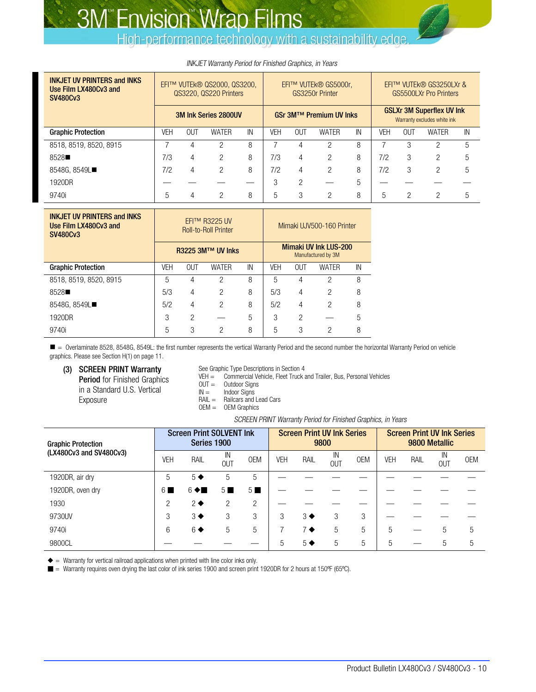High-performance technology with a sustainability edge.

<span id="page-9-0"></span>

| <b>INKJET UV PRINTERS and INKS</b><br>Use Film LX480Cv3 and<br><b>SV480Cv3</b> | EFI™ VUTEk® QS2000, QS3200,<br>QS3220, QS220 Printers |     |              | EFI™ VUTEk® GS5000r.<br>GS3250r Printer |     |            | EFI™ VUTEk® GS3250LXr &<br>GS5500LXr Pro Printers               |    |     |            |              |    |
|--------------------------------------------------------------------------------|-------------------------------------------------------|-----|--------------|-----------------------------------------|-----|------------|-----------------------------------------------------------------|----|-----|------------|--------------|----|
|                                                                                | <b>3M Ink Series 2800UV</b>                           |     |              | GSr 3M™ Premium UV Inks                 |     |            | <b>GSLXr 3M Superflex UV Ink</b><br>Warranty excludes white ink |    |     |            |              |    |
| <b>Graphic Protection</b>                                                      | VEH                                                   | OUT | <b>WATER</b> | IN                                      | VEH | <b>OUT</b> | <b>WATER</b>                                                    | IN | VEH | <b>OUT</b> | <b>WATER</b> | IN |
| 8518, 8519, 8520, 8915                                                         |                                                       |     | റ            | 8                                       |     |            | ∩                                                               | 8  |     | 3          | ŋ            | 5  |
| 8528■                                                                          | 7/3                                                   | 4   | っ            | 8                                       | 7/3 | 4          | റ                                                               | 8  | 7/2 | 3          | っ            | 5  |
| 8548G, 8549L■                                                                  | 7/2                                                   | 4   | 2            | 8                                       | 7/2 | 4          | 2                                                               | 8  | 7/2 | 3          | 2            | 5  |
| 1920DR                                                                         |                                                       |     |              |                                         | 3   | っ          |                                                                 | 5  |     |            |              |    |
| 9740i                                                                          |                                                       |     | റ            | 8                                       | 5   | 3          | റ                                                               | 8  | 5   | റ          | ∩            | 5  |

#### INKJET Warranty Period for Finished Graphics, in Years

| <b>INKJET UV PRINTERS and INKS</b><br>Use Film LX480Cv3 and<br><b>SV480Cv3</b> |            |                          | EFI™ R3225 UV<br><b>Roll-to-Roll Printer</b> |    |                                                    | Mimaki UJV500-160 Printer |              |    |
|--------------------------------------------------------------------------------|------------|--------------------------|----------------------------------------------|----|----------------------------------------------------|---------------------------|--------------|----|
|                                                                                |            | <b>R3225 3M™ UV Inks</b> |                                              |    | <b>Mimaki UV Ink LUS-200</b><br>Manufactured by 3M |                           |              |    |
| <b>Graphic Protection</b>                                                      | <b>VEH</b> | <b>OUT</b>               | <b>WATER</b>                                 | IN | <b>VFH</b>                                         | OUT                       | <b>WATER</b> | IN |
| 8518, 8519, 8520, 8915                                                         | 5          | 4                        | 2                                            | 8  | 5                                                  | 4                         | 2            | 8  |
| 8528                                                                           | 5/3        | 4                        | 2                                            | 8  | 5/3                                                | 4                         | 2            | 8  |
| 8548G, 8549L■                                                                  | 5/2        | 4                        | 2                                            | 8  | 5/2                                                | 4                         | 2            | 8  |
| 1920DR                                                                         | 3          | $\overline{2}$           |                                              | 5  | 3                                                  | 2                         |              | 5  |
| 9740i                                                                          | 5          | 3                        | ∩                                            | 8  | 5                                                  | 3                         | 2            | 8  |

■ = Overlaminate 8528, 8548G, 8549L: the first number represents the vertical Warranty Period and the second number the horizontal Warranty Period on vehicle graphics. Please see Section [H\(1\)](#page-10-0) on page [11](#page-10-0).

- (3) SCREEN PRINT Warranty Period for Finished Graphics in a Standard U.S. Vertical Exposure
- See Graphic Type Descriptions in Section [4](#page-5-0)

VEH = Commercial Vehicle, Fleet Truck and Trailer, Bus, Personal Vehicles<br>OUT = Outdoor Signs

- 
- $OUT =$  Outdoor Signs<br> $IN =$  Indoor Signs Indoor Signs

RAIL = Railcars and Lead Cars

OEM = OEM Graphics

#### SCREEN PRINT Warranty Period for Finished Graphics, in Years

| <b>Graphic Protection</b> |            | <b>Screen Print SOLVENT Ink</b><br>Series 1900 |                  |                  |            | <b>Screen Print UV Ink Series</b><br>9800 |                  |            |     | <b>Screen Print UV Ink Series</b><br>9800 Metallic |                  |            |
|---------------------------|------------|------------------------------------------------|------------------|------------------|------------|-------------------------------------------|------------------|------------|-----|----------------------------------------------------|------------------|------------|
| (LX480Cv3 and SV480Cv3)   | <b>VEH</b> | RAIL                                           | IN<br><b>OUT</b> | <b>OEM</b>       | <b>VEH</b> | RAIL                                      | IN<br><b>OUT</b> | <b>OEM</b> | VEH | RAIL                                               | IN<br><b>OUT</b> | <b>OEM</b> |
| 1920DR, air dry           | 5          | $5 \blacklozenge$                              | 5                | 5                |            |                                           |                  |            |     |                                                    |                  |            |
| 1920DR, oven dry          | 6 I        | $6 \triangleleft$                              | 5 <sub>1</sub>   | $5 \blacksquare$ |            |                                           |                  |            |     |                                                    |                  |            |
| 1930                      | 2          | $2 \bullet$                                    | 2                | 2                |            |                                           |                  |            |     |                                                    |                  |            |
| 9730UV                    | 3          | $3 \blacklozenge$                              | 3                | 3                | 3          | $3^{\bullet}$                             | 3                | 3          |     |                                                    |                  |            |
| 9740i                     | 6          | $6 \blacklozenge$                              | 5                | 5                |            | 7♦                                        | 5                | 5          | 5   |                                                    | 5                | 5          |
| 9800CL                    |            |                                                |                  |                  | 5          | $5 \blacklozenge$                         | 5                | 5          | 5   |                                                    | 5                | 5          |

 $\triangleq$  = Warranty for vertical railroad applications when printed with line color inks only.

■ Warranty requires oven drying the last color of ink series 1900 and screen print 1920DR for 2 hours at 150°F (65°C).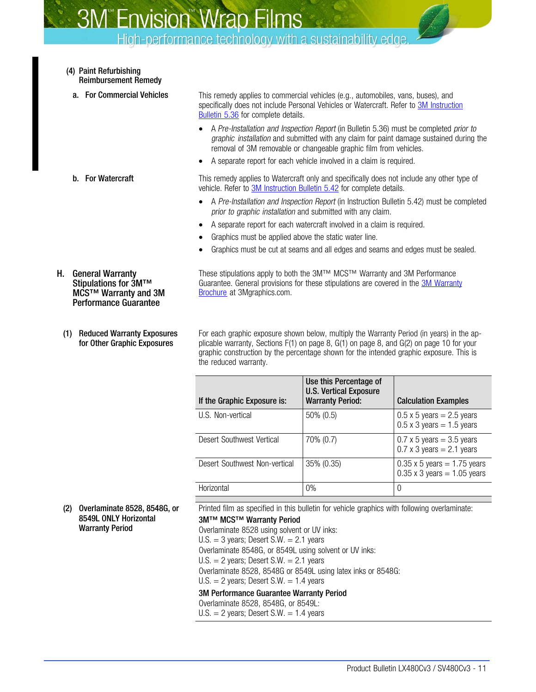High-performance technology with a sustainability edge.

- <span id="page-10-0"></span>(4) Paint Refurbishing Reimbursement Remedy
	-

**a.** For Commercial Vehicles This remedy applies to commercial vehicles (e.g., automobiles, vans, buses), and specifically does not include Personal Vehicles or Watercraft. Refer to [3M Instruction](http://multimedia.mmm.com/mws/mediawebserver.dyn?6666660Zjcf6lVs6EVs666aE9COrrrrQ-) [Bulletin 5.36](http://multimedia.mmm.com/mws/mediawebserver.dyn?6666660Zjcf6lVs6EVs666aE9COrrrrQ-) for complete details.

- A Pre-Installation and Inspection Report (in Bulletin 5.36) must be completed prior to graphic installation and submitted with any claim for paint damage sustained during the removal of 3M removable or changeable graphic film from vehicles.
- A separate report for each vehicle involved in a claim is required.

**b.** For Watercraft This remedy applies to Watercraft only and specifically does not include any other type of vehicle. Refer to [3M Instruction Bulletin 5.42](http://multimedia.3m.com/mws/mediawebserver?66666UuZjcFSLXTtNXTXOX&tEVuQEcuZgVs6EVs6E666666--) for complete details.

- A Pre-Installation and Inspection Report (in Instruction Bulletin 5.42) must be completed prior to graphic installation and submitted with any claim.
- A separate report for each watercraft involved in a claim is required.
- Graphics must be applied above the static water line.
- Graphics must be cut at seams and all edges and seams and edges must be sealed.

These stipulations apply to both the 3M™ MCS™ Warranty and 3M Performance Guarantee. General provisions for these stipulations are covered in the [3M Warranty](http://multimedia.3m.com/mws/mediawebserver?mwsId=SSSSSuH8gc7nZxtUN8_UM8mZevUqe17zHvTSevTSeSSSSSS--&fn=3M%20Commercial%20Graphics%20Warranty) [Brochure](http://multimedia.3m.com/mws/mediawebserver?mwsId=SSSSSuH8gc7nZxtUN8_UM8mZevUqe17zHvTSevTSeSSSSSS--&fn=3M%20Commercial%20Graphics%20Warranty) at 3Mgraphics.com.

MCS™ Warranty and 3M Performance Guarantee

Stipulations for 3M™

H. General Warranty

(1) Reduced Warranty Exposures for Other Graphic Exposures

For each graphic exposure shown below, multiply the Warranty Period (in years) in the applicable warranty, Sections [F](#page-7-0)(1) on page [8,](#page-7-0) [G](#page-7-0)(1) on page [8,](#page-7-0) and [G](#page-7-0)(2) on page [10](#page-9-0) for your graphic construction by the percentage shown for the intended graphic exposure. This is the reduced warranty.

| If the Graphic Exposure is:   | Use this Percentage of<br><b>U.S. Vertical Exposure</b><br><b>Warranty Period:</b> | <b>Calculation Examples</b>                                              |
|-------------------------------|------------------------------------------------------------------------------------|--------------------------------------------------------------------------|
| U.S. Non-vertical             | 50% (0.5)                                                                          | $0.5 \times 5$ years = 2.5 years<br>$0.5 \times 3$ years = 1.5 years     |
| Desert Southwest Vertical     | 70% (0.7)                                                                          | $0.7 \times 5$ years = 3.5 years<br>$0.7 \times 3$ years = 2.1 years     |
| Desert Southwest Non-vertical | $35\%$ (0.35)                                                                      | $0.35 \times 5$ years = 1.75 years<br>$0.35 \times 3$ years = 1.05 years |
| Horizontal                    | $0\%$                                                                              | 0                                                                        |

(2) Overlaminate 8528, 8548G, or 8549L ONLY Horizontal Warranty Period

Printed film as specified in this bulletin for vehicle graphics with following overlaminate:

3M™ MCS™ Warranty Period Overlaminate 8528 using solvent or UV inks:  $U.S. = 3$  years; Desert S.W. = 2.1 years Overlaminate 8548G, or 8549L using solvent or UV inks:  $U.S. = 2$  years; Desert S.W. = 2.1 years Overlaminate 8528, 8548G or 8549L using latex inks or 8548G: U.S.  $=$  2 years; Desert S.W.  $=$  1.4 years 3M Performance Guarantee Warranty Period

Overlaminate 8528, 8548G, or 8549L:  $U.S. = 2$  years; Desert S.W. = 1.4 years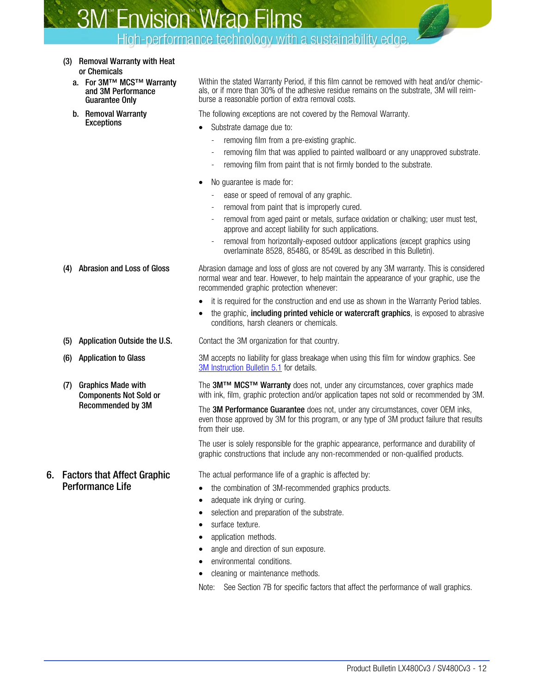High-performance technology with a sustainability edge.

- (3) Removal Warranty with Heat or Chemicals
	- a. For 3M™ MCS™ Warranty and 3M Performance Guarantee Only
	- b. Removal Warranty **Exceptions**

Within the stated Warranty Period, if this film cannot be removed with heat and/or chemicals, or if more than 30% of the adhesive residue remains on the substrate, 3M will reimburse a reasonable portion of extra removal costs.

The following exceptions are not covered by the Removal Warranty.

- Substrate damage due to:
	- removing film from a pre-existing graphic.
	- removing film that was applied to painted wallboard or any unapproved substrate.
	- removing film from paint that is not firmly bonded to the substrate.
- No guarantee is made for:
	- ease or speed of removal of any graphic.
	- removal from paint that is improperly cured.
	- removal from aged paint or metals, surface oxidation or chalking; user must test, approve and accept liability for such applications.
	- removal from horizontally-exposed outdoor applications (except graphics using overlaminate 8528, 8548G, or 8549L as described in this Bulletin).

(4) Abrasion and Loss of Gloss **Abrasion damage and loss of gloss are not covered by any 3M warranty**. This is considered normal wear and tear. However, to help maintain the appearance of your graphic, use the recommended graphic protection whenever:

- it is required for the construction and end use as shown in the Warranty Period tables.
- the graphic, including printed vehicle or watercraft graphics, is exposed to abrasive conditions, harsh cleaners or chemicals.

(5) Application Outside the U.S. Contact the 3M organization for that country.

(6) Application to Glass 3M accepts no liability for glass breakage when using this film for window graphics. See [3M Instruction Bulletin 5.1](http://multimedia.3m.com/mws/mediawebserver?6666660Zjcf6lVs6EVs666TtMCOrrrrQ-) for details.

> The 3M™ MCS™ Warranty does not, under any circumstances, cover graphics made with ink, film, graphic protection and/or application tapes not sold or recommended by 3M.

> The 3M Performance Guarantee does not, under any circumstances, cover OEM inks, even those approved by 3M for this program, or any type of 3M product failure that results from their use.

The user is solely responsible for the graphic appearance, performance and durability of graphic constructions that include any non-recommended or non-qualified products.

The actual performance life of a graphic is affected by:

- the combination of 3M-recommended graphics products.
- adequate ink drying or curing.
- selection and preparation of the substrate.
- surface texture.
- application methods.
- angle and direction of sun exposure.
- environmental conditions.
- cleaning or maintenance methods.

Note: See Section [7B](#page-12-0) for specific factors that affect the performance of wall graphics.

6. Factors that Affect Graphic Performance Life

(7) Graphics Made with

Components Not Sold or Recommended by 3M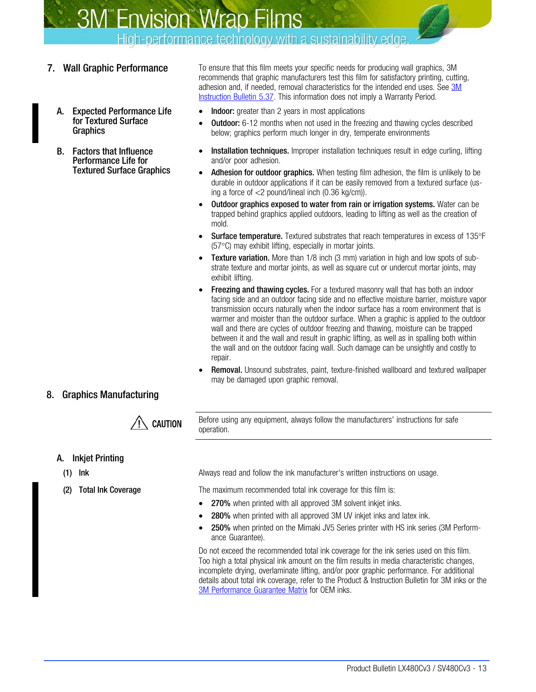High-performance technology with a sustainability edge.

- - A. Expected Performance Life for Textured Surface **Graphics**
	- B. Factors that Influence Performance Life for Textured Surface Graphics

<span id="page-12-0"></span>7. Wall Graphic Performance To ensure that this film meets your specific needs for producing wall graphics, 3M recommends that graphic manufacturers test this film for satisfactory printing, cutting, adhesion and, if needed, removal characteristics for the intended end uses. See [3M](http://multimedia.3m.com/mws/mediawebserver?6666660Zjcf6lVs6EVs666PrWCOrrrrQ-) [Instruction Bulletin 5.37.](http://multimedia.3m.com/mws/mediawebserver?6666660Zjcf6lVs6EVs666PrWCOrrrrQ-) This information does not imply a Warranty Period.

- Indoor: greater than 2 years in most applications
- **Outdoor:** 6-12 months when not used in the freezing and thawing cycles described below; graphics perform much longer in dry, temperate environments
- **Installation techniques.** Improper installation techniques result in edge curling, lifting and/or poor adhesion.
- Adhesion for outdoor graphics. When testing film adhesion, the film is unlikely to be durable in outdoor applications if it can be easily removed from a textured surface (using a force of <2 pound/lineal inch (0.36 kg/cm)).
- Outdoor graphics exposed to water from rain or irrigation systems. Water can be trapped behind graphics applied outdoors, leading to lifting as well as the creation of mold.
- Surface temperature. Textured substrates that reach temperatures in excess of 135°F (57°C) may exhibit lifting, especially in mortar joints.
- **Texture variation.** More than 1/8 inch (3 mm) variation in high and low spots of substrate texture and mortar joints, as well as square cut or undercut mortar joints, may exhibit lifting.
- Freezing and thawing cycles. For a textured masonry wall that has both an indoor facing side and an outdoor facing side and no effective moisture barrier, moisture vapor transmission occurs naturally when the indoor surface has a room environment that is warmer and moister than the outdoor surface. When a graphic is applied to the outdoor wall and there are cycles of outdoor freezing and thawing, moisture can be trapped between it and the wall and result in graphic lifting, as well as in spalling both within the wall and on the outdoor facing wall. Such damage can be unsightly and costly to repair.
- Removal. Unsound substrates, paint, texture-finished wallboard and textured wallpaper may be damaged upon graphic removal.

## 8. Graphics Manufacturing



Before using any equipment, always follow the manufacturers' instructions for safe operation.

## A. Inkjet Printing

- 
- 

(1) Ink Always read and follow the ink manufacturer's written instructions on usage.

(2) Total Ink Coverage The maximum recommended total ink coverage for this film is:

- 270% when printed with all approved 3M solvent inkjet inks.
- 280% when printed with all approved 3M UV inkiet inks and latex ink.
- 250% when printed on the Mimaki JV5 Series printer with HS ink series (3M Performance Guarantee).

Do not exceed the recommended total ink coverage for the ink series used on this film. Too high a total physical ink amount on the film results in media characteristic changes, incomplete drying, overlaminate lifting, and/or poor graphic performance. For additional details about total ink coverage, refer to the Product & Instruction Bulletin for 3M inks or the [3M Performance Guarantee Matrix](http://multimedia.3m.com/mws/mediawebserver?mwsId=66666UuZjcFSLXTtmxTXMxfyEVuQEcuZgVs6EVs6E666666--) for OEM inks.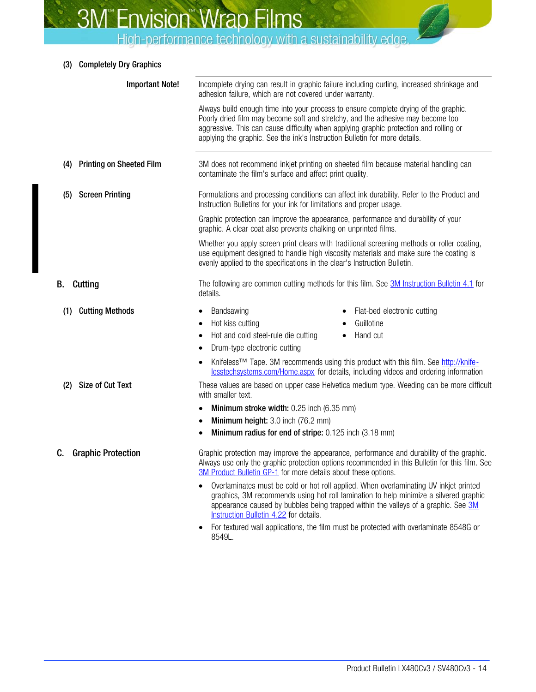| (3) Completely Dry Graphics |  |
|-----------------------------|--|
|                             |  |

| <b>Important Note!</b>                 | adhesion failure, which are not covered under warranty.                                                                         | Incomplete drying can result in graphic failure including curling, increased shrinkage and                                                                                                                                                                           |
|----------------------------------------|---------------------------------------------------------------------------------------------------------------------------------|----------------------------------------------------------------------------------------------------------------------------------------------------------------------------------------------------------------------------------------------------------------------|
|                                        | applying the graphic. See the ink's Instruction Bulletin for more details.                                                      | Always build enough time into your process to ensure complete drying of the graphic.<br>Poorly dried film may become soft and stretchy, and the adhesive may become too<br>aggressive. This can cause difficulty when applying graphic protection and rolling or     |
| <b>Printing on Sheeted Film</b><br>(4) | contaminate the film's surface and affect print quality.                                                                        | 3M does not recommend inkjet printing on sheeted film because material handling can                                                                                                                                                                                  |
| <b>Screen Printing</b><br>(5)          | Instruction Bulletins for your ink for limitations and proper usage.                                                            | Formulations and processing conditions can affect ink durability. Refer to the Product and                                                                                                                                                                           |
|                                        | graphic. A clear coat also prevents chalking on unprinted films.                                                                | Graphic protection can improve the appearance, performance and durability of your                                                                                                                                                                                    |
|                                        | evenly applied to the specifications in the clear's Instruction Bulletin.                                                       | Whether you apply screen print clears with traditional screening methods or roller coating,<br>use equipment designed to handle high viscosity materials and make sure the coating is                                                                                |
| В.<br>Cutting                          | details.                                                                                                                        | The following are common cutting methods for this film. See 3M Instruction Bulletin 4.1 for                                                                                                                                                                          |
| (1) Cutting Methods                    | Bandsawing<br>Hot kiss cutting<br>$\bullet$<br>Hot and cold steel-rule die cutting<br>Drum-type electronic cutting<br>$\bullet$ | Flat-bed electronic cutting<br>Guillotine<br>Hand cut<br>$\bullet$<br>Knifeless <sup>™</sup> Tape. 3M recommends using this product with this film. See http://knife-<br>lesstechsystems.com/Home.aspx for details, including videos and ordering information        |
| <b>Size of Cut Text</b><br>(2)         | with smaller text.                                                                                                              | These values are based on upper case Helvetica medium type. Weeding can be more difficult                                                                                                                                                                            |
|                                        | Minimum stroke width: 0.25 inch (6.35 mm)                                                                                       |                                                                                                                                                                                                                                                                      |
|                                        | Minimum height: 3.0 inch (76.2 mm)                                                                                              |                                                                                                                                                                                                                                                                      |
|                                        | Minimum radius for end of stripe: 0.125 inch (3.18 mm)                                                                          |                                                                                                                                                                                                                                                                      |
| <b>Graphic Protection</b><br>C.        | 3M Product Bulletin GP-1 for more details about these options.                                                                  | Graphic protection may improve the appearance, performance and durability of the graphic.<br>Always use only the graphic protection options recommended in this Bulletin for this film. See                                                                          |
|                                        | Instruction Bulletin 4.22 for details.                                                                                          | Overlaminates must be cold or hot roll applied. When overlaminating UV inkjet printed<br>graphics, 3M recommends using hot roll lamination to help minimize a silvered graphic<br>appearance caused by bubbles being trapped within the valleys of a graphic. See 3M |

• For textured wall applications, the film must be protected with overlaminate 8548G or 8549L.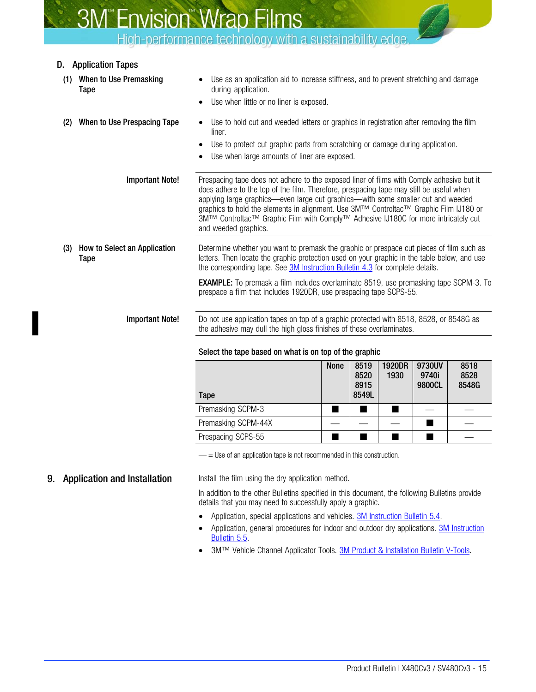High-performance technology with a sustainability edge.

## <span id="page-14-0"></span>D. Application Tapes

(1) When to Use Premasking Tape Use as an application aid to increase stiffness, and to prevent stretching and damage during application. Use when little or no liner is exposed. (2) When to Use Prespacing Tape • Use to hold cut and weeded letters or graphics in registration after removing the film liner. Use to protect cut graphic parts from scratching or damage during application. Use when large amounts of liner are exposed. **Important Note!** Prespacing tape does not adhere to the exposed liner of films with Comply adhesive but it does adhere to the top of the film. Therefore, prespacing tape may still be useful when applying large graphics—even large cut graphics—with some smaller cut and weeded graphics to hold the elements in alignment. Use 3M™ Controltac™ Graphic Film IJ180 or 3M™ Controltac™ Graphic Film with Comply™ Adhesive IJ180C for more intricately cut and weeded graphics. (3) How to Select an Application Tape Determine whether you want to premask the graphic or prespace cut pieces of film such as letters. Then locate the graphic protection used on your graphic in the table below, and use the corresponding tape. See [3M Instruction Bulletin 4.3](http://multimedia.mmm.com/mws/mediawebserver.dyn?6666660Zjcf6lVs6EVs666Tt3COrrrrQ-) for complete details. **EXAMPLE:** To premask a film includes overlaminate 8519, use premasking tape SCPM-3. To prespace a film that includes 1920DR, use prespacing tape SCPS-55. Important Note! Do not use application tapes on top of a graphic protected with 8518, 8528, or 8548G as the adhesive may dull the high gloss finishes of these overlaminates.

#### Select the tape based on what is on top of the graphic

| Tape                | <b>None</b> | 8519<br>8520<br>8915<br>8549L | 1920DR<br>1930 | 9730UV<br>9740i<br>9800CL | 8518<br>8528<br>8548G |
|---------------------|-------------|-------------------------------|----------------|---------------------------|-----------------------|
| Premasking SCPM-3   |             |                               |                |                           |                       |
| Premasking SCPM-44X |             |                               |                |                           |                       |
| Prespacing SCPS-55  |             |                               |                |                           |                       |

 $=$  Use of an application tape is not recommended in this construction.

**9. Application and Installation** Install the film using the dry application method.

In addition to the other Bulletins specified in this document, the following Bulletins provide details that you may need to successfully apply a graphic.

- Application, special applications and vehicles. [3M Instruction Bulletin 5.4.](http://multimedia.3m.com/mws/mediawebserver?6666660Zjcf6lVs6EVs666TtNCOrrrrQ-)
- Application, general procedures for indoor and outdoor dry applications. **[3M Instruction](http://multimedia.3m.com/mws/mediawebserver?6666660Zjcf6lVs6EVs666s0_COrrrrQ-)** [Bulletin 5.5](http://multimedia.3m.com/mws/mediawebserver?6666660Zjcf6lVs6EVs666s0_COrrrrQ-).
- 3M<sup>™</sup> Vehicle Channel Applicator Tools. [3M Product & Installation Bulletin V-Tools.](http://multimedia.3m.com/mws/mediawebserver?66666UuZjcFSLXTtmxMtOxTyEVuQEcuZgVs6EVs6E666666--)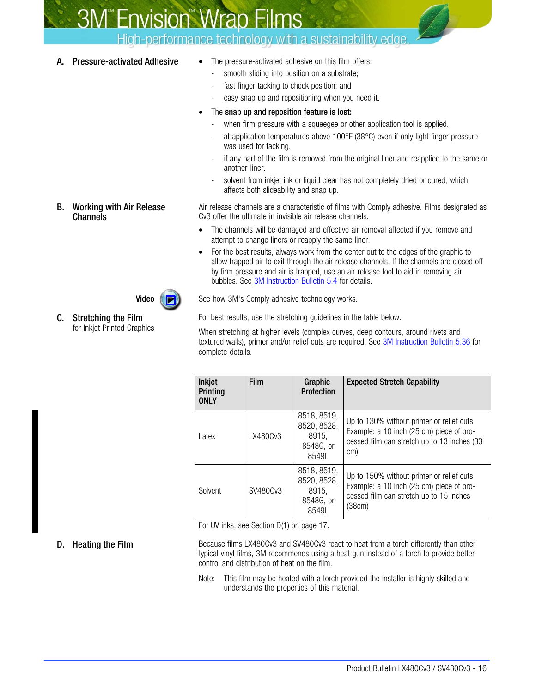## High-performance technology with a sustainability edge.

- <span id="page-15-0"></span>A. Pressure-activated Adhesive • The pressure-activated adhesive on this film offers:
	- smooth sliding into position on a substrate:
	- fast finger tacking to check position; and
	- easy snap up and repositioning when you need it.
	- The snap up and reposition feature is lost:
		- when firm pressure with a squeegee or other application tool is applied.
		- at application temperatures above  $100^{\circ}$ F (38 $^{\circ}$ C) even if only light finger pressure was used for tacking.
		- if any part of the film is removed from the original liner and reapplied to the same or another liner.
		- solvent from inkjet ink or liquid clear has not completely dried or cured, which affects both slideability and snap up.

Air release channels are a characteristic of films with Comply adhesive. Films designated as Cv3 offer the ultimate in invisible air release channels.

- The channels will be damaged and effective air removal affected if you remove and attempt to change liners or reapply the same liner.
- For the best results, always work from the center out to the edges of the graphic to allow trapped air to exit through the air release channels. If the channels are closed off by firm pressure and air is trapped, use an air release tool to aid in removing air bubbles. See [3M Instruction Bulletin 5.4](http://multimedia.mmm.com/mws/mediawebserver.dyn?6666660Zjcf6lVs6EVs666TtNCOrrrrQ-) for details.

**Video**  $(\triangleright)$  See how 3M's Comply adhesive technology works.

For best results, use the stretching guidelines in the table below.

When stretching at higher levels (complex curves, deep contours, around rivets and textured walls), primer and/or relief cuts are required. See [3M Instruction Bulletin 5.36](http://multimedia.mmm.com/mws/mediawebserver.dyn?6666660Zjcf6lVs6EVs666aE9COrrrrQ-) for complete details.

| Inkjet<br>Printing<br><b>ONLY</b> | <b>Film</b> | Graphic<br><b>Protection</b>                              | <b>Expected Stretch Capability</b>                                                                                                         |
|-----------------------------------|-------------|-----------------------------------------------------------|--------------------------------------------------------------------------------------------------------------------------------------------|
| Latex                             | LX480Cv3    | 8518, 8519,<br>8520, 8528,<br>8915.<br>8548G, or<br>85491 | Up to 130% without primer or relief cuts<br>Example: a 10 inch (25 cm) piece of pro-<br>cessed film can stretch up to 13 inches (33<br>cm) |
| Solvent                           | SV480Cv3    | 8518, 8519,<br>8520, 8528,<br>8915.<br>8548G, or<br>8549L | Up to 150% without primer or relief cuts<br>Example: a 10 inch (25 cm) piece of pro-<br>cessed film can stretch up to 15 inches<br>(38cm)  |

For UV inks, see Section [D\(1\)](#page-16-0) on page [17.](#page-16-0)

**D.** Heating the Film Because films LX480Cv3 and SV480Cv3 react to heat from a torch differently than other typical vinyl films, 3M recommends using a heat gun instead of a torch to provide better control and distribution of heat on the film.

> Note: This film may be heated with a torch provided the installer is highly skilled and understands the properties of this material.

#### B. Working with Air Release **Channels**



#### C. Stretching the Film for Inkjet Printed Graphics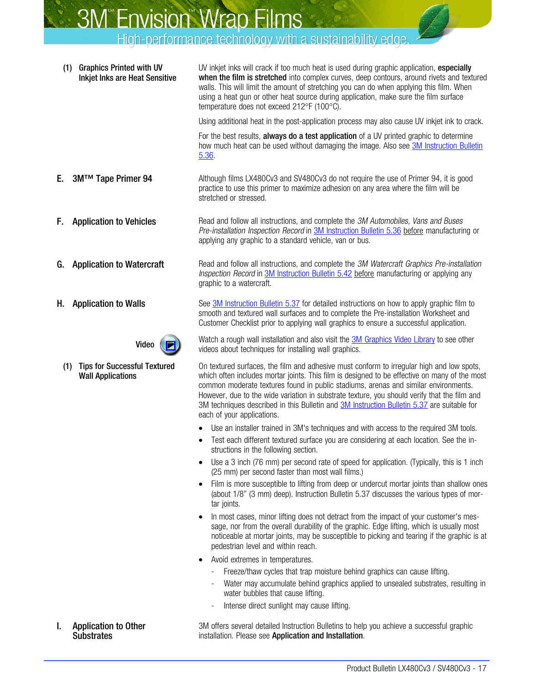<span id="page-16-0"></span>

| <b>Graphics Printed with UV</b><br>(1)<br><b>Inkjet Inks are Heat Sensitive</b> | UV inkjet inks will crack if too much heat is used during graphic application, especially<br>when the film is stretched into complex curves, deep contours, around rivets and textured<br>walls. This will limit the amount of stretching you can do when applying this film. When<br>using a heat gun or other heat source during application, make sure the film surface<br>temperature does not exceed 212°F (100°C).                                                                                      |
|---------------------------------------------------------------------------------|---------------------------------------------------------------------------------------------------------------------------------------------------------------------------------------------------------------------------------------------------------------------------------------------------------------------------------------------------------------------------------------------------------------------------------------------------------------------------------------------------------------|
|                                                                                 | Using additional heat in the post-application process may also cause UV inkjet ink to crack.                                                                                                                                                                                                                                                                                                                                                                                                                  |
|                                                                                 | For the best results, always do a test application of a UV printed graphic to determine<br>how much heat can be used without damaging the image. Also see <b>3M</b> Instruction Bulletin<br>5.36.                                                                                                                                                                                                                                                                                                             |
| 3M™ Tape Primer 94<br>Е.                                                        | Although films LX480Cv3 and SV480Cv3 do not require the use of Primer 94, it is good<br>practice to use this primer to maximize adhesion on any area where the film will be<br>stretched or stressed.                                                                                                                                                                                                                                                                                                         |
| F.<br><b>Application to Vehicles</b>                                            | Read and follow all instructions, and complete the 3M Automobiles, Vans and Buses<br>Pre-installation Inspection Record in 3M Instruction Bulletin 5.36 before manufacturing or<br>applying any graphic to a standard vehicle, van or bus.                                                                                                                                                                                                                                                                    |
| <b>Application to Watercraft</b><br>G.                                          | Read and follow all instructions, and complete the 3M Watercraft Graphics Pre-installation<br>Inspection Record in 3M Instruction Bulletin 5.42 before manufacturing or applying any<br>graphic to a watercraft.                                                                                                                                                                                                                                                                                              |
| <b>Application to Walls</b><br>Н.                                               | See 3M Instruction Bulletin 5.37 for detailed instructions on how to apply graphic film to<br>smooth and textured wall surfaces and to complete the Pre-installation Worksheet and<br>Customer Checklist prior to applying wall graphics to ensure a successful application.                                                                                                                                                                                                                                  |
| Video                                                                           | Watch a rough wall installation and also visit the <b>3M Graphics Video Library</b> to see other<br>videos about techniques for installing wall graphics.                                                                                                                                                                                                                                                                                                                                                     |
| <b>Tips for Successful Textured</b><br>(1)<br><b>Wall Applications</b>          | On textured surfaces, the film and adhesive must conform to irregular high and low spots,<br>which often includes mortar joints. This film is designed to be effective on many of the most<br>common moderate textures found in public stadiums, arenas and similar environments.<br>However, due to the wide variation in substrate texture, you should verify that the film and<br>3M techniques described in this Bulletin and 3M Instruction Bulletin 5.37 are suitable for<br>each of your applications. |
|                                                                                 | Use an installer trained in 3M's techniques and with access to the required 3M tools.                                                                                                                                                                                                                                                                                                                                                                                                                         |
|                                                                                 | Test each different textured surface you are considering at each location. See the in-<br>structions in the following section.                                                                                                                                                                                                                                                                                                                                                                                |
|                                                                                 | Use a 3 inch (76 mm) per second rate of speed for application. (Typically, this is 1 inch<br>(25 mm) per second faster than most wall films.)                                                                                                                                                                                                                                                                                                                                                                 |
|                                                                                 | Film is more susceptible to lifting from deep or undercut mortar joints than shallow ones<br>(about 1/8" (3 mm) deep). Instruction Bulletin 5.37 discusses the various types of mor-<br>tar joints.                                                                                                                                                                                                                                                                                                           |
|                                                                                 | In most cases, minor lifting does not detract from the impact of your customer's mes-<br>sage, nor from the overall durability of the graphic. Edge lifting, which is usually most<br>noticeable at mortar joints, may be susceptible to picking and tearing if the graphic is at<br>pedestrian level and within reach.                                                                                                                                                                                       |
|                                                                                 | Avoid extremes in temperatures.                                                                                                                                                                                                                                                                                                                                                                                                                                                                               |
|                                                                                 | Freeze/thaw cycles that trap moisture behind graphics can cause lifting.                                                                                                                                                                                                                                                                                                                                                                                                                                      |
|                                                                                 | Water may accumulate behind graphics applied to unsealed substrates, resulting in<br>water bubbles that cause lifting.                                                                                                                                                                                                                                                                                                                                                                                        |
|                                                                                 | Intense direct sunlight may cause lifting.                                                                                                                                                                                                                                                                                                                                                                                                                                                                    |

I. Application to Other **Substrates** 

3M offers several detailed Instruction Bulletins to help you achieve a successful graphic installation. Please see Application and Installation.

k,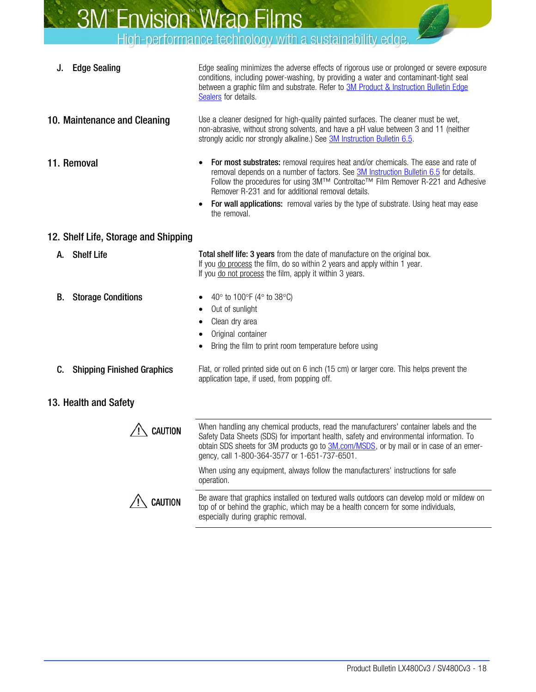High-performance technology with a sustainability edge.

**J.** Edge Sealing Edge sealing minimizes the adverse effects of rigorous use or prolonged or severe exposure conditions, including power-washing, by providing a water and contaminant-tight seal between a graphic film and substrate. Refer to **[3M Product & Instruction Bulletin Edge](http://multimedia.3m.com/mws/mediawebserver?6666660Zjcf6lVs6EVs666COKCOrrrrQ-)** [Sealers](http://multimedia.3m.com/mws/mediawebserver?6666660Zjcf6lVs6EVs666COKCOrrrrQ-) for details. 10. Maintenance and Cleaning Use a cleaner designed for high-quality painted surfaces. The cleaner must be wet, non-abrasive, without strong solvents, and have a pH value between 3 and 11 (neither strongly acidic nor strongly alkaline.) See [3M Instruction Bulletin 6.5](http://multimedia.mmm.com/mws/mediawebserver.dyn?6666660Zjcf6lVs6EVs666TtlCOrrrrQ-). 11. Removal • For most substrates: removal requires heat and/or chemicals. The ease and rate of removal depends on a number of factors. See **3M Instruction Bulletin 6.5** for details. Follow the procedures for using 3M™ Controltac<sup>™</sup> Film Remover R-221 and Adhesive Remover R-231 and for additional removal details. For wall applications: removal varies by the type of substrate. Using heat may ease the removal. 12. Shelf Life, Storage and Shipping A. Shelf Life Total shelf life: 3 years from the date of manufacture on the original box. If you do process the film, do so within 2 years and apply within 1 year. If you do not process the film, apply it within 3 years. **B.** Storage Conditions •  $40^\circ$  to  $100^\circ$ F ( $4^\circ$  to  $38^\circ$ C) • Out of sunlight Clean dry area • Original container Bring the film to print room temperature before using **C.** Shipping Finished Graphics Flat, or rolled printed side out on 6 inch (15 cm) or larger core. This helps prevent the application tape, if used, from popping off. 13. Health and Safety When handling any chemical products, read the manufacturers' container labels and the **CAUTION** Safety Data Sheets (SDS) for important health, safety and environmental information. To obtain SDS sheets for 3M products go to **[3M.com/MSDS](http://solutions.3m.com/wps/portal/3M/en_WW/MSDS/Search?gsaAction=msdsSRA)**, or by mail or in case of an emergency, call 1-800-364-3577 or 1-651-737-6501. When using any equipment, always follow the manufacturers' instructions for safe operation. Be aware that graphics installed on textured walls outdoors can develop mold or mildew on **CAUTION** top of or behind the graphic, which may be a health concern for some individuals, especially during graphic removal.